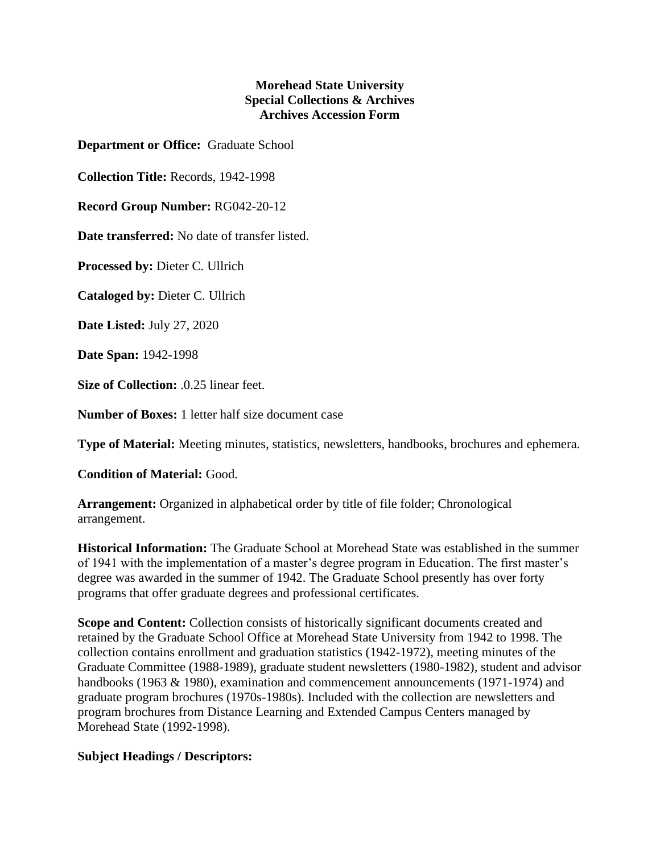## **Morehead State University Special Collections & Archives Archives Accession Form**

**Department or Office:** Graduate School

**Collection Title:** Records, 1942-1998

**Record Group Number:** RG042-20-12

**Date transferred:** No date of transfer listed.

**Processed by:** Dieter C. Ullrich

**Cataloged by:** Dieter C. Ullrich

**Date Listed:** July 27, 2020

**Date Span:** 1942-1998

**Size of Collection:** .0.25 linear feet.

**Number of Boxes:** 1 letter half size document case

**Type of Material:** Meeting minutes, statistics, newsletters, handbooks, brochures and ephemera.

**Condition of Material:** Good.

**Arrangement:** Organized in alphabetical order by title of file folder; Chronological arrangement.

**Historical Information:** The Graduate School at Morehead State was established in the summer of 1941 with the implementation of a master's degree program in Education. The first master's degree was awarded in the summer of 1942. The Graduate School presently has over forty programs that offer graduate degrees and professional certificates.

**Scope and Content:** Collection consists of historically significant documents created and retained by the Graduate School Office at Morehead State University from 1942 to 1998. The collection contains enrollment and graduation statistics (1942-1972), meeting minutes of the Graduate Committee (1988-1989), graduate student newsletters (1980-1982), student and advisor handbooks (1963 & 1980), examination and commencement announcements (1971-1974) and graduate program brochures (1970s-1980s). Included with the collection are newsletters and program brochures from Distance Learning and Extended Campus Centers managed by Morehead State (1992-1998).

## **Subject Headings / Descriptors:**